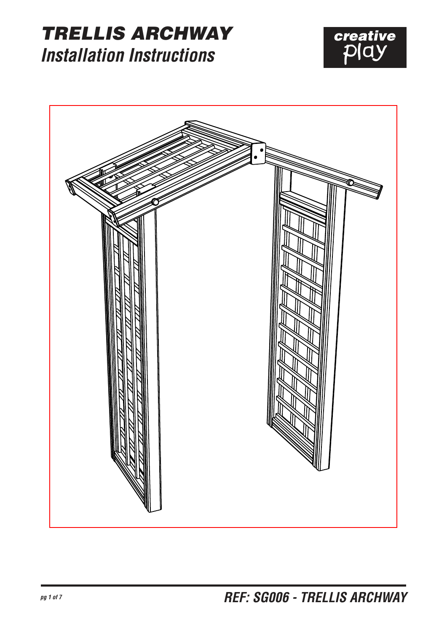#### TRELLIS ARCHWAY *Installation Instructions*



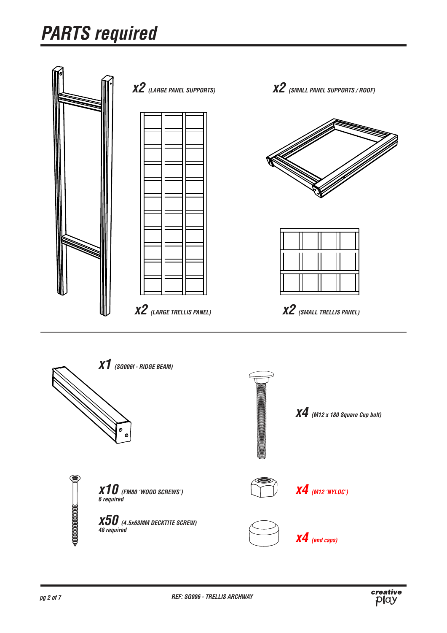# *PARTS required*



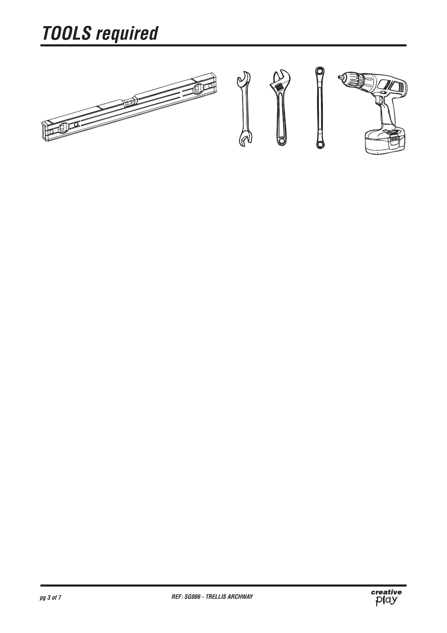# *TOOLS required*



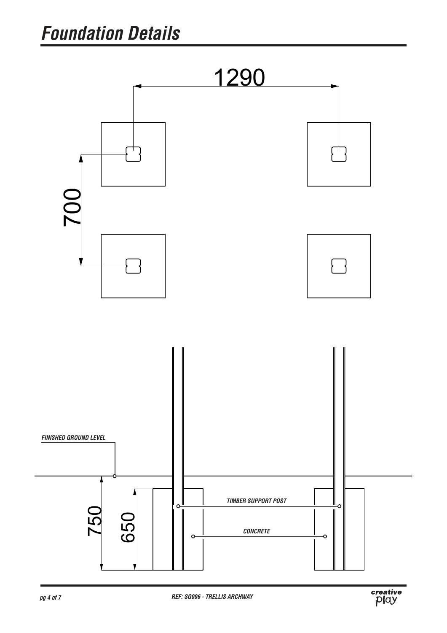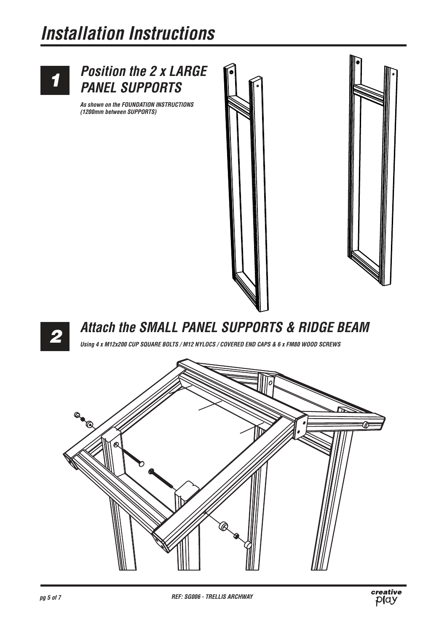### *Installation Instructions*

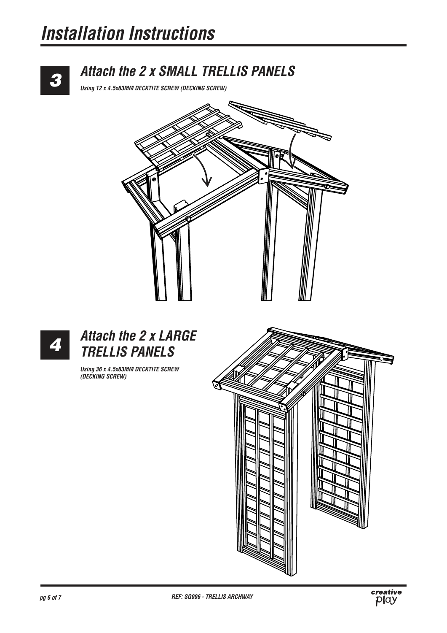### *Installation Instructions*



#### *Attach the 2 x SMALL TRELLIS PANELS*

*Using 12 x 4.5x63MM DECKTITE SCREW (DECKING SCREW)*





*Using 36 x 4.5x63MM DECKTITE SCREW (DECKING SCREW)*